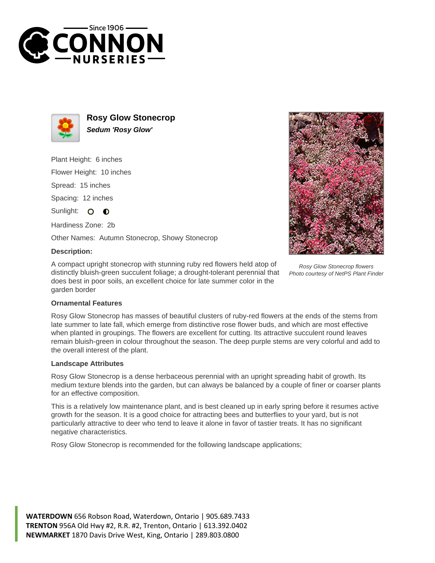



**Rosy Glow Stonecrop Sedum 'Rosy Glow'**

Plant Height: 6 inches

Flower Height: 10 inches

Spread: 15 inches

Spacing: 12 inches

Sunlight: O  $\bullet$ 

Hardiness Zone: 2b

Other Names: Autumn Stonecrop, Showy Stonecrop

## **Description:**

A compact upright stonecrop with stunning ruby red flowers held atop of distinctly bluish-green succulent foliage; a drought-tolerant perennial that does best in poor soils, an excellent choice for late summer color in the garden border



Rosy Glow Stonecrop flowers Photo courtesy of NetPS Plant Finder

## **Ornamental Features**

Rosy Glow Stonecrop has masses of beautiful clusters of ruby-red flowers at the ends of the stems from late summer to late fall, which emerge from distinctive rose flower buds, and which are most effective when planted in groupings. The flowers are excellent for cutting. Its attractive succulent round leaves remain bluish-green in colour throughout the season. The deep purple stems are very colorful and add to the overall interest of the plant.

## **Landscape Attributes**

Rosy Glow Stonecrop is a dense herbaceous perennial with an upright spreading habit of growth. Its medium texture blends into the garden, but can always be balanced by a couple of finer or coarser plants for an effective composition.

This is a relatively low maintenance plant, and is best cleaned up in early spring before it resumes active growth for the season. It is a good choice for attracting bees and butterflies to your yard, but is not particularly attractive to deer who tend to leave it alone in favor of tastier treats. It has no significant negative characteristics.

Rosy Glow Stonecrop is recommended for the following landscape applications;

**WATERDOWN** 656 Robson Road, Waterdown, Ontario | 905.689.7433 **TRENTON** 956A Old Hwy #2, R.R. #2, Trenton, Ontario | 613.392.0402 **NEWMARKET** 1870 Davis Drive West, King, Ontario | 289.803.0800